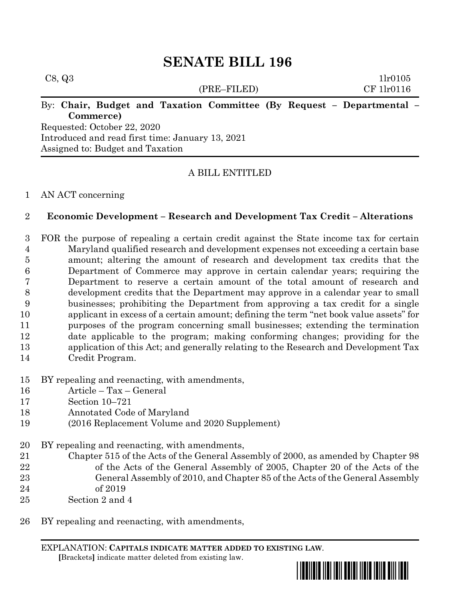# **SENATE BILL 196**

| C8, Q3                                           |             | 1lr0105                                                               |
|--------------------------------------------------|-------------|-----------------------------------------------------------------------|
|                                                  | (PRE–FILED) | CF 1lr0116                                                            |
|                                                  |             | By: Chair, Budget and Taxation Committee (By Request - Departmental - |
| Commerce)                                        |             |                                                                       |
| Requested: October 22, 2020                      |             |                                                                       |
| Introduced and read first time: January 13, 2021 |             |                                                                       |

Assigned to: Budget and Taxation

## A BILL ENTITLED

### AN ACT concerning

### **Economic Development – Research and Development Tax Credit – Alterations**

 FOR the purpose of repealing a certain credit against the State income tax for certain Maryland qualified research and development expenses not exceeding a certain base amount; altering the amount of research and development tax credits that the Department of Commerce may approve in certain calendar years; requiring the Department to reserve a certain amount of the total amount of research and development credits that the Department may approve in a calendar year to small businesses; prohibiting the Department from approving a tax credit for a single applicant in excess of a certain amount; defining the term "net book value assets" for purposes of the program concerning small businesses; extending the termination date applicable to the program; making conforming changes; providing for the application of this Act; and generally relating to the Research and Development Tax Credit Program.

- BY repealing and reenacting, with amendments,
- Article Tax General
- Section 10–721
- Annotated Code of Maryland
- (2016 Replacement Volume and 2020 Supplement)
- BY repealing and reenacting, with amendments,
- Chapter 515 of the Acts of the General Assembly of 2000, as amended by Chapter 98 22 of the Acts of the General Assembly of 2005, Chapter 20 of the Acts of the General Assembly of 2010, and Chapter 85 of the Acts of the General Assembly of 2019
- Section 2 and 4
- BY repealing and reenacting, with amendments,

EXPLANATION: **CAPITALS INDICATE MATTER ADDED TO EXISTING LAW**.  **[**Brackets**]** indicate matter deleted from existing law.

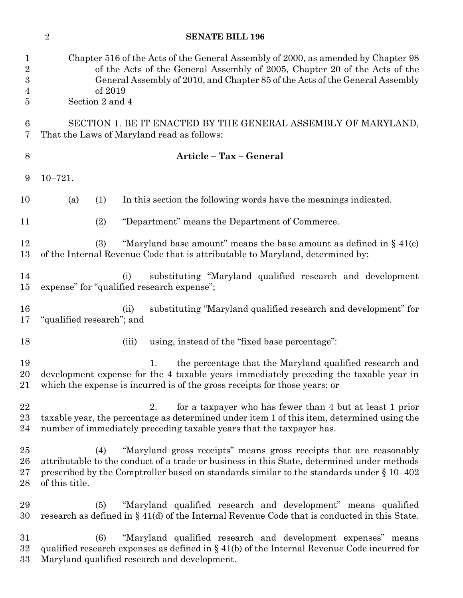|                                                   | <b>SENATE BILL 196</b><br>$\overline{2}$                                                                                                                                                                                                                                                 |
|---------------------------------------------------|------------------------------------------------------------------------------------------------------------------------------------------------------------------------------------------------------------------------------------------------------------------------------------------|
| 1<br>$\overline{2}$<br>$\boldsymbol{3}$<br>4<br>5 | Chapter 516 of the Acts of the General Assembly of 2000, as amended by Chapter 98<br>of the Acts of the General Assembly of 2005, Chapter 20 of the Acts of the<br>General Assembly of 2010, and Chapter 85 of the Acts of the General Assembly<br>of 2019<br>Section 2 and 4            |
| 6<br>7                                            | SECTION 1. BE IT ENACTED BY THE GENERAL ASSEMBLY OF MARYLAND,<br>That the Laws of Maryland read as follows:                                                                                                                                                                              |
| 8                                                 | Article - Tax - General                                                                                                                                                                                                                                                                  |
| 9                                                 | $10 - 721.$                                                                                                                                                                                                                                                                              |
| 10                                                | In this section the following words have the meanings indicated.<br>(a)<br>(1)                                                                                                                                                                                                           |
| 11                                                | "Department" means the Department of Commerce.<br>(2)                                                                                                                                                                                                                                    |
| 12<br>13                                          | "Maryland base amount" means the base amount as defined in $\S$ 41(c)<br>(3)<br>of the Internal Revenue Code that is attributable to Maryland, determined by:                                                                                                                            |
| 14<br>15                                          | substituting "Maryland qualified research and development<br>(i)<br>expense" for "qualified research expense";                                                                                                                                                                           |
| 16<br>17                                          | substituting "Maryland qualified research and development" for<br>(ii)<br>"qualified research"; and                                                                                                                                                                                      |
| 18                                                | using, instead of the "fixed base percentage":<br>(iii)                                                                                                                                                                                                                                  |
| 19<br>20<br>21                                    | the percentage that the Maryland qualified research and<br>1.<br>development expense for the 4 taxable years immediately preceding the taxable year in<br>which the expense is incurred is of the gross receipts for those years; or                                                     |
| 22<br>23<br>24                                    | for a taxpayer who has fewer than 4 but at least 1 prior<br>2.<br>taxable year, the percentage as determined under item 1 of this item, determined using the<br>number of immediately preceding taxable years that the taxpayer has.                                                     |
| 25<br>26<br>$27\,$<br>28                          | "Maryland gross receipts" means gross receipts that are reasonably<br>(4)<br>attributable to the conduct of a trade or business in this State, determined under methods<br>prescribed by the Comptroller based on standards similar to the standards under $\S 10-402$<br>of this title. |
| 29<br>30                                          | "Maryland qualified research and development" means qualified<br>(5)<br>research as defined in $\S$ 41(d) of the Internal Revenue Code that is conducted in this State.                                                                                                                  |
| $31\,$<br>32<br>$33\,$                            | (6)<br>"Maryland qualified research and development expenses" means<br>qualified research expenses as defined in $\S$ 41(b) of the Internal Revenue Code incurred for<br>Maryland qualified research and development.                                                                    |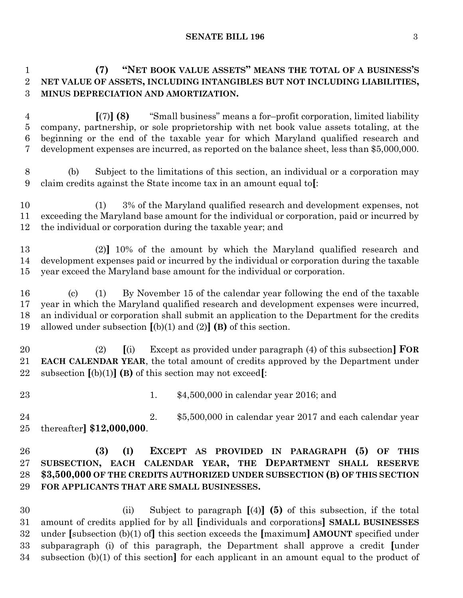**SENATE BILL 196** 3

# **(7) "NET BOOK VALUE ASSETS" MEANS THE TOTAL OF A BUSINESS'S NET VALUE OF ASSETS, INCLUDING INTANGIBLES BUT NOT INCLUDING LIABILITIES, MINUS DEPRECIATION AND AMORTIZATION.**

 **[**(7)**] (8)** "Small business" means a for–profit corporation, limited liability company, partnership, or sole proprietorship with net book value assets totaling, at the beginning or the end of the taxable year for which Maryland qualified research and development expenses are incurred, as reported on the balance sheet, less than \$5,000,000.

 (b) Subject to the limitations of this section, an individual or a corporation may claim credits against the State income tax in an amount equal to**[**:

 (1) 3% of the Maryland qualified research and development expenses, not exceeding the Maryland base amount for the individual or corporation, paid or incurred by the individual or corporation during the taxable year; and

 (2)**]** 10% of the amount by which the Maryland qualified research and development expenses paid or incurred by the individual or corporation during the taxable year exceed the Maryland base amount for the individual or corporation.

 (c) (1) By November 15 of the calendar year following the end of the taxable year in which the Maryland qualified research and development expenses were incurred, an individual or corporation shall submit an application to the Department for the credits allowed under subsection **[**(b)(1) and (2)**] (B)** of this section.

 (2) **[**(i) Except as provided under paragraph (4) of this subsection**] FOR EACH CALENDAR YEAR**, the total amount of credits approved by the Department under subsection **[**(b)(1)**] (B)** of this section may not exceed**[**:

1. \$4,500,000 in calendar year 2016; and

 2. \$5,500,000 in calendar year 2017 and each calendar year thereafter**] \$12,000,000**.

# **(3) (I) EXCEPT AS PROVIDED IN PARAGRAPH (5) OF THIS SUBSECTION, EACH CALENDAR YEAR, THE DEPARTMENT SHALL RESERVE \$3,500,000 OF THE CREDITS AUTHORIZED UNDER SUBSECTION (B) OF THIS SECTION FOR APPLICANTS THAT ARE SMALL BUSINESSES.**

 (ii) Subject to paragraph **[**(4)**] (5)** of this subsection, if the total amount of credits applied for by all **[**individuals and corporations**] SMALL BUSINESSES** under **[**subsection (b)(1) of**]** this section exceeds the **[**maximum**] AMOUNT** specified under subparagraph (i) of this paragraph, the Department shall approve a credit **[**under subsection (b)(1) of this section**]** for each applicant in an amount equal to the product of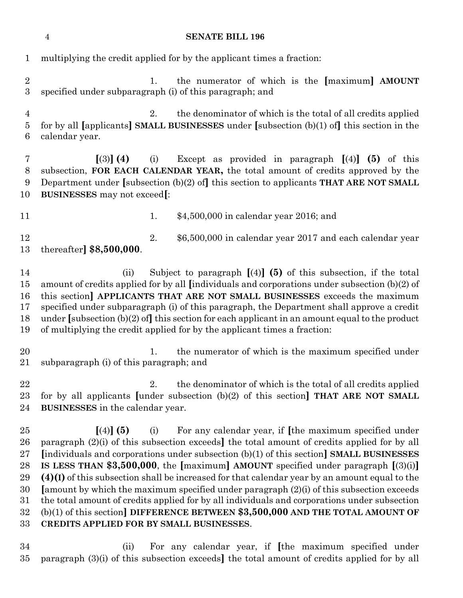multiplying the credit applied for by the applicant times a fraction: 1. the numerator of which is the **[**maximum**] AMOUNT** specified under subparagraph (i) of this paragraph; and 2. the denominator of which is the total of all credits applied for by all **[**applicants**] SMALL BUSINESSES** under **[**subsection (b)(1) of**]** this section in the calendar year. **[**(3)**] (4)** (i) Except as provided in paragraph **[**(4)**] (5)** of this subsection, **FOR EACH CALENDAR YEAR,** the total amount of credits approved by the Department under **[**subsection (b)(2) of**]** this section to applicants **THAT ARE NOT SMALL BUSINESSES** may not exceed**[**: **1.** \$4,500,000 in calendar year 2016; and 12 2. \$6,500,000 in calendar year 2017 and each calendar year thereafter**] \$8,500,000**. (ii) Subject to paragraph **[**(4)**] (5)** of this subsection, if the total amount of credits applied for by all **[**individuals and corporations under subsection (b)(2) of this section**] APPLICANTS THAT ARE NOT SMALL BUSINESSES** exceeds the maximum specified under subparagraph (i) of this paragraph, the Department shall approve a credit under **[**subsection (b)(2) of**]** this section for each applicant in an amount equal to the product of multiplying the credit applied for by the applicant times a fraction: 20 1. the numerator of which is the maximum specified under subparagraph (i) of this paragraph; and 22 2. the denominator of which is the total of all credits applied for by all applicants **[**under subsection (b)(2) of this section**] THAT ARE NOT SMALL BUSINESSES** in the calendar year. **[**(4)**] (5)** (i) For any calendar year, if **[**the maximum specified under paragraph (2)(i) of this subsection exceeds**]** the total amount of credits applied for by all **[**individuals and corporations under subsection (b)(1) of this section**] SMALL BUSINESSES IS LESS THAN \$3,500,000**, the **[**maximum**] AMOUNT** specified under paragraph **[**(3)(i)**] (4)(I)** of this subsection shall be increased for that calendar year by an amount equal to the **[**amount by which the maximum specified under paragraph (2)(i) of this subsection exceeds the total amount of credits applied for by all individuals and corporations under subsection (b)(1) of this section**] DIFFERENCE BETWEEN \$3,500,000 AND THE TOTAL AMOUNT OF CREDITS APPLIED FOR BY SMALL BUSINESSES**. (ii) For any calendar year, if **[**the maximum specified under paragraph (3)(i) of this subsection exceeds**]** the total amount of credits applied for by all

**SENATE BILL 196**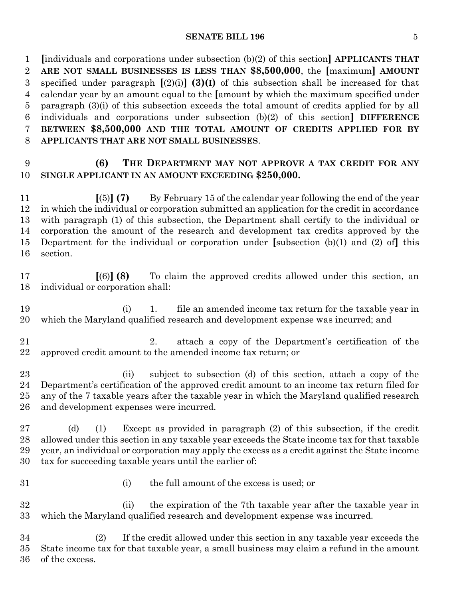#### **SENATE BILL 196** 5

 **[**individuals and corporations under subsection (b)(2) of this section**] APPLICANTS THAT ARE NOT SMALL BUSINESSES IS LESS THAN \$8,500,000**, the **[**maximum**] AMOUNT** specified under paragraph **[**(2)(i)**] (3)(I)** of this subsection shall be increased for that calendar year by an amount equal to the **[**amount by which the maximum specified under paragraph (3)(i) of this subsection exceeds the total amount of credits applied for by all individuals and corporations under subsection (b)(2) of this section**] DIFFERENCE BETWEEN \$8,500,000 AND THE TOTAL AMOUNT OF CREDITS APPLIED FOR BY APPLICANTS THAT ARE NOT SMALL BUSINESSES**.

# **(6) THE DEPARTMENT MAY NOT APPROVE A TAX CREDIT FOR ANY SINGLE APPLICANT IN AN AMOUNT EXCEEDING \$250,000.**

 **[**(5)**] (7)** By February 15 of the calendar year following the end of the year in which the individual or corporation submitted an application for the credit in accordance with paragraph (1) of this subsection, the Department shall certify to the individual or corporation the amount of the research and development tax credits approved by the Department for the individual or corporation under **[**subsection (b)(1) and (2) of**]** this section.

 **[**(6)**] (8)** To claim the approved credits allowed under this section, an individual or corporation shall:

 (i) 1. file an amended income tax return for the taxable year in which the Maryland qualified research and development expense was incurred; and

 2. attach a copy of the Department's certification of the approved credit amount to the amended income tax return; or

 (ii) subject to subsection (d) of this section, attach a copy of the Department's certification of the approved credit amount to an income tax return filed for any of the 7 taxable years after the taxable year in which the Maryland qualified research and development expenses were incurred.

 (d) (1) Except as provided in paragraph (2) of this subsection, if the credit allowed under this section in any taxable year exceeds the State income tax for that taxable year, an individual or corporation may apply the excess as a credit against the State income tax for succeeding taxable years until the earlier of:

- 
- (i) the full amount of the excess is used; or

 (ii) the expiration of the 7th taxable year after the taxable year in which the Maryland qualified research and development expense was incurred.

 (2) If the credit allowed under this section in any taxable year exceeds the State income tax for that taxable year, a small business may claim a refund in the amount of the excess.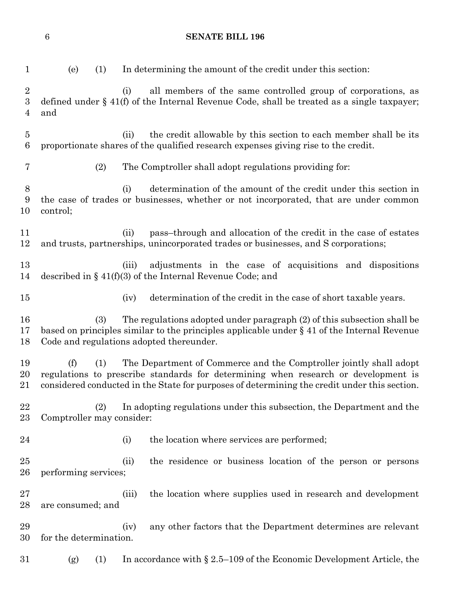|                            | $\,6\,$                   |     |       | <b>SENATE BILL 196</b>                                                                                                                                                                                                                                   |
|----------------------------|---------------------------|-----|-------|----------------------------------------------------------------------------------------------------------------------------------------------------------------------------------------------------------------------------------------------------------|
| $\mathbf{1}$               | (e)                       | (1) |       | In determining the amount of the credit under this section:                                                                                                                                                                                              |
| $\boldsymbol{2}$<br>3<br>4 | and                       |     | (i)   | all members of the same controlled group of corporations, as<br>defined under $\S$ 41(f) of the Internal Revenue Code, shall be treated as a single taxpayer;                                                                                            |
| $\overline{5}$<br>6        |                           |     | (ii)  | the credit allowable by this section to each member shall be its<br>proportionate shares of the qualified research expenses giving rise to the credit.                                                                                                   |
| 7                          |                           | (2) |       | The Comptroller shall adopt regulations providing for:                                                                                                                                                                                                   |
| 8<br>9<br>10               | control;                  |     | (i)   | determination of the amount of the credit under this section in<br>the case of trades or businesses, whether or not incorporated, that are under common                                                                                                  |
| 11<br>12                   |                           |     | (ii)  | pass-through and allocation of the credit in the case of estates<br>and trusts, partnerships, unincorporated trades or businesses, and S corporations;                                                                                                   |
| 13<br>14                   |                           |     | (iii) | adjustments in the case of acquisitions and dispositions<br>described in § $41(f)(3)$ of the Internal Revenue Code; and                                                                                                                                  |
| 15                         |                           |     | (iv)  | determination of the credit in the case of short taxable years.                                                                                                                                                                                          |
| 16<br>17<br>18             |                           | (3) |       | The regulations adopted under paragraph (2) of this subsection shall be<br>based on principles similar to the principles applicable under $\S$ 41 of the Internal Revenue<br>Code and regulations adopted thereunder.                                    |
| 19<br>20<br>21             | (f)                       | (1) |       | The Department of Commerce and the Comptroller jointly shall adopt<br>regulations to prescribe standards for determining when research or development is<br>considered conducted in the State for purposes of determining the credit under this section. |
| 22<br>$23\,$               | Comptroller may consider: | (2) |       | In adopting regulations under this subsection, the Department and the                                                                                                                                                                                    |
| 24                         |                           |     | (i)   | the location where services are performed;                                                                                                                                                                                                               |
| 25<br>26                   | performing services;      |     | (ii)  | the residence or business location of the person or persons                                                                                                                                                                                              |
| $27\,$<br>28               | are consumed; and         |     | (iii) | the location where supplies used in research and development                                                                                                                                                                                             |
| 29<br>30                   | for the determination.    |     | (iv)  | any other factors that the Department determines are relevant                                                                                                                                                                                            |
| 31                         | (g)                       | (1) |       | In accordance with $\S 2.5-109$ of the Economic Development Article, the                                                                                                                                                                                 |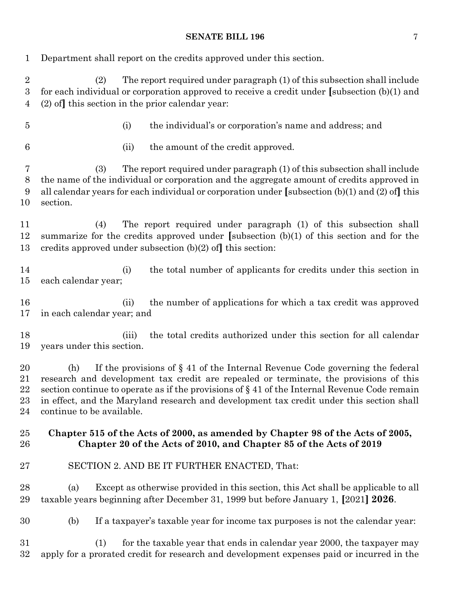### **SENATE BILL 196** 7

| 1                                         | Department shall report on the credits approved under this section.                                                                                                                                                                                                                                                                                                                                         |
|-------------------------------------------|-------------------------------------------------------------------------------------------------------------------------------------------------------------------------------------------------------------------------------------------------------------------------------------------------------------------------------------------------------------------------------------------------------------|
| $\boldsymbol{2}$<br>$\boldsymbol{3}$<br>4 | The report required under paragraph (1) of this subsection shall include<br>(2)<br>for each individual or corporation approved to receive a credit under [subsection $(b)(1)$ and<br>$(2)$ of this section in the prior calendar year:                                                                                                                                                                      |
| 5                                         | the individual's or corporation's name and address; and<br>(i)                                                                                                                                                                                                                                                                                                                                              |
| $6\phantom{.}6$                           | the amount of the credit approved.<br>(ii)                                                                                                                                                                                                                                                                                                                                                                  |
| 7<br>$8\,$<br>9<br>10                     | The report required under paragraph (1) of this subsection shall include<br>(3)<br>the name of the individual or corporation and the aggregate amount of credits approved in<br>all calendar years for each individual or corporation under [subsection $(b)(1)$ and $(2)$ of] this<br>section.                                                                                                             |
| 11<br>12<br>13                            | The report required under paragraph (1) of this subsection shall<br>(4)<br>summarize for the credits approved under [subsection $(b)(1)$ of this section and for the<br>credits approved under subsection $(b)(2)$ of this section:                                                                                                                                                                         |
| 14<br>15                                  | the total number of applicants for credits under this section in<br>(i)<br>each calendar year;                                                                                                                                                                                                                                                                                                              |
| 16<br>17                                  | the number of applications for which a tax credit was approved<br>(ii)<br>in each calendar year; and                                                                                                                                                                                                                                                                                                        |
| 18<br>19                                  | the total credits authorized under this section for all calendar<br>(iii)<br>years under this section.                                                                                                                                                                                                                                                                                                      |
| 20<br>21<br>22<br>23<br>24                | If the provisions of $\S$ 41 of the Internal Revenue Code governing the federal<br>(h)<br>research and development tax credit are repealed or terminate, the provisions of this<br>section continue to operate as if the provisions of $\S 41$ of the Internal Revenue Code remain<br>in effect, and the Maryland research and development tax credit under this section shall<br>continue to be available. |
| 25<br>26                                  | Chapter 515 of the Acts of 2000, as amended by Chapter 98 of the Acts of 2005,<br>Chapter 20 of the Acts of 2010, and Chapter 85 of the Acts of 2019                                                                                                                                                                                                                                                        |
| $27\,$                                    | SECTION 2. AND BE IT FURTHER ENACTED, That:                                                                                                                                                                                                                                                                                                                                                                 |
| 28<br>29                                  | Except as otherwise provided in this section, this Act shall be applicable to all<br>(a)<br>taxable years beginning after December 31, 1999 but before January 1, [2021] 2026.                                                                                                                                                                                                                              |
| 30                                        | If a taxpayer's taxable year for income tax purposes is not the calendar year:<br>(b)                                                                                                                                                                                                                                                                                                                       |
| 31<br>$32\,$                              | for the taxable year that ends in calendar year 2000, the taxpayer may<br>(1)<br>apply for a prorated credit for research and development expenses paid or incurred in the                                                                                                                                                                                                                                  |